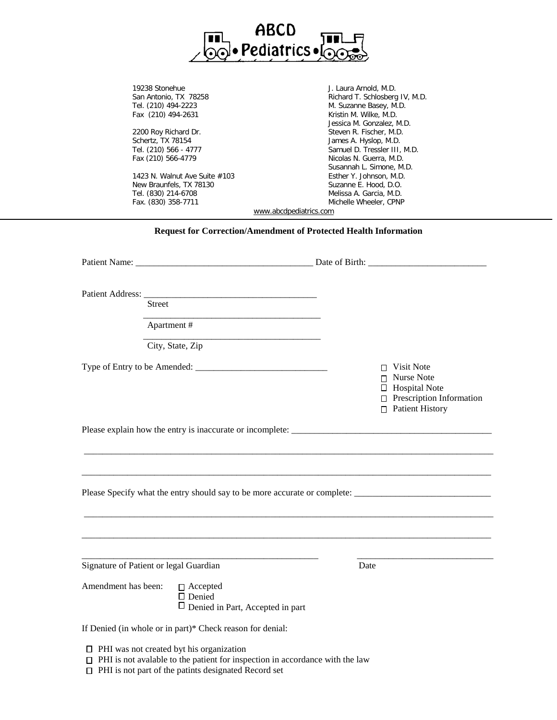

19238 Stonehue **J. Laura Arnold, M.D.** San Antonio, TX 78258 **Richard T. Schlosberg IV, M.D.** Tel. (210) 494-2223 M. Suzanne Basey, M.D. Fax (210) 494-2631 **Kristin M. Wilke, M.D.** Jessica M. Gonzalez, M.D. 2200 Roy Richard Dr. Steven R. Fischer, M.D. Schertz, TX 78154 James A. Hyslop, M.D.<br>Tel. (210) 566 - 4777 James A. Hyslop, M.D. Samuel D. Tressler III, M.D. Fax (210) 566-4779 Nicolas N. Guerra, M.D. Susannah L. Simone, M.D. 1423 N. Walnut Ave Suite #103 Esther Y. Johnson, M.D. New Braunfels, TX 78130 Suzanne E. Hood, D.O. Tel. (830) 214-6708 Melissa A. Garcia, M.D.

[www.abcdpediatrics.com](http://www.abcdpediatrics.com/)

Michelle Wheeler, CPNP

## **Request for Correction/Amendment of Protected Health Information**

|                     | Street                                                                      |      |                                                                                                                      |
|---------------------|-----------------------------------------------------------------------------|------|----------------------------------------------------------------------------------------------------------------------|
|                     |                                                                             |      |                                                                                                                      |
|                     | Apartment #                                                                 |      |                                                                                                                      |
|                     | City, State, Zip                                                            |      |                                                                                                                      |
|                     |                                                                             |      | $\Box$ Visit Note<br>Nurse Note<br>$\Box$ Hospital Note<br>$\Box$ Prescription Information<br>$\Box$ Patient History |
|                     |                                                                             |      |                                                                                                                      |
|                     |                                                                             |      |                                                                                                                      |
|                     |                                                                             |      |                                                                                                                      |
|                     |                                                                             |      |                                                                                                                      |
|                     | <u> 1989 - Johann Barbara, martxa al III-lea (h. 1989).</u>                 |      |                                                                                                                      |
|                     | Signature of Patient or legal Guardian                                      | Date |                                                                                                                      |
| Amendment has been: | $\Box$ Accepted<br>$\Box$ Denied<br>$\Box$ Denied in Part, Accepted in part |      |                                                                                                                      |
|                     | If Denied (in whole or in part)* Check reason for denial:                   |      |                                                                                                                      |
|                     | $\Box$ PHI was not created byt his organization                             |      |                                                                                                                      |

- $\Box$  PHI is not avalable to the patient for inspection in accordance with the law
- PHI is not part of the patints designated Record set